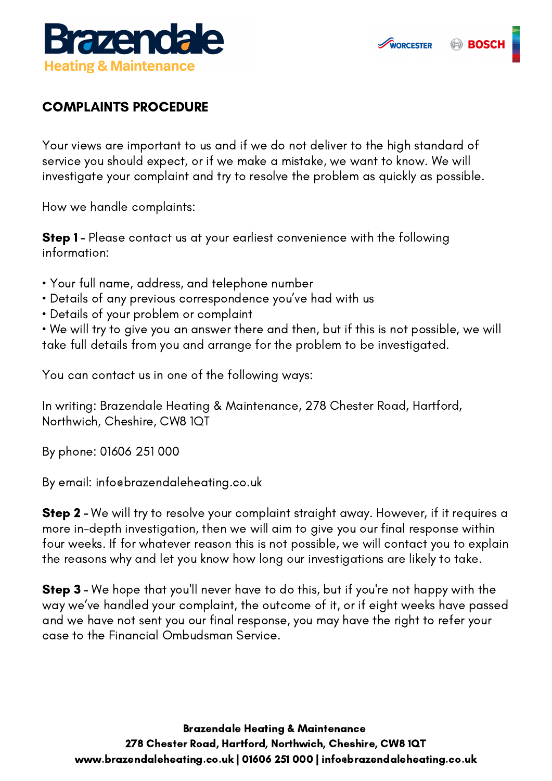

## COMPLAINTS PROCEDURE

Your views are important to us and if we do not deliver to the high standard of service you should expect, or if we make a mistake, we want to know. We will investigate your complaint and try to resolve the problem as quickly as possible.

How we handle complaints:

**Step 1** - Please contact us at your earliest convenience with the following information:

- Your full name, address, and telephone number
- Details of any previous correspondence you've had with us
- Details of your problem or complaint

• We will try to give you an answer there and then, but if this is not possible, we will take full details from you and arrange for the problem to be investigated.

You can contact us in one of the following ways:

In writing: Brazendale Heating & Maintenance, 278 Chester Road, Hartford, Northwich, Cheshire, CW8 1QT

By phone: 01606 251 000

By email: [info@brazendaleheating.co.uk](mailto:info@brazendaleheating.co.uk)

**Step 2** - We will try to resolve your complaint straight away. However, if it requires a more in-depth investigation, then we will aim to give you our final response within four weeks. If for whatever reason this is not possible, we will contact you to explain the reasons why and let you know how long our investigations are likely to take.

**Step 3** - We hope that you'll never have to do this, but if you're not happy with the way we've handled your complaint, the outcome of it, or if eight weeks have passed and we have not sent you our final response, you may have the right to refer your case to the Financial Ombudsman Service.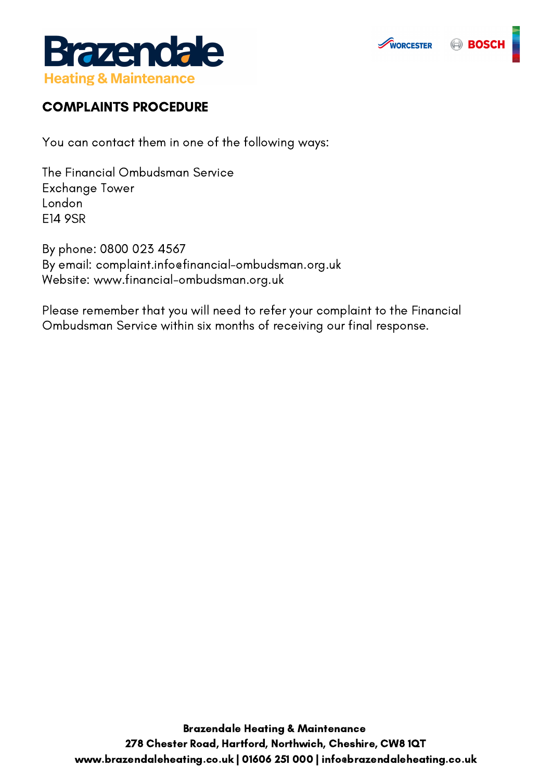





## COMPLAINTS PROCEDURE

You can contact them in one of the following ways:

The Financial Ombudsman Service Exchange Tower London E14 9SR

By phone: 0800 023 4567 By email: complaint.info@financial-ombudsman.org.uk Website: www.financial-ombudsman.org.uk

Please remember that you will need to refer your complaint to the Financial Ombudsman Service within six months of receiving our final response.